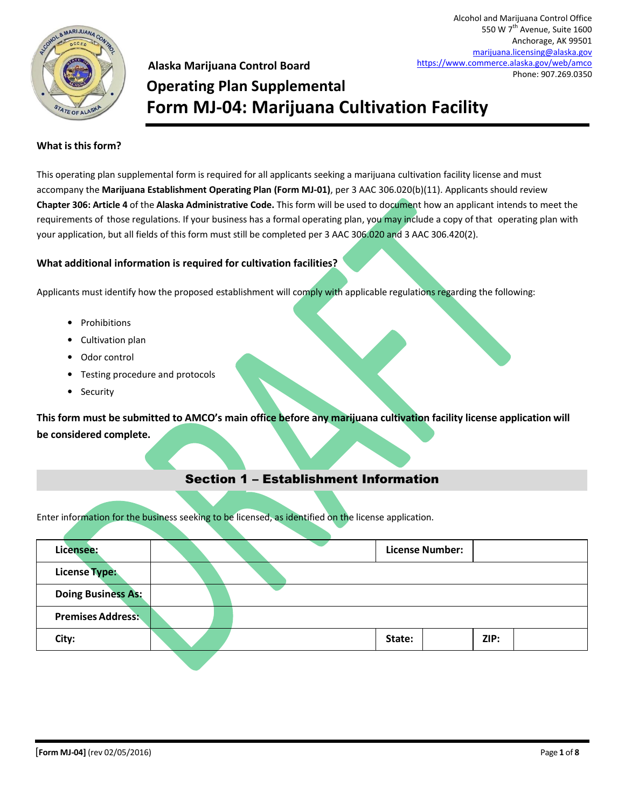

**Alaska Marijuana Control Board Operating Plan Supplemental Form MJ-04: Marijuana Cultivation Facility**

### **What is this form?**

This operating plan supplemental form is required for all applicants seeking a marijuana cultivation facility license and must accompany the **Marijuana Establishment Operating Plan (Form MJ-01)**, per 3 AAC 306.020(b)(11). Applicants should review **Chapter 306: Article 4** of the **Alaska Administrative Code.** This form will be used to document how an applicant intends to meet the requirements of those regulations. If your business has a formal operating plan, you may include a copy of that operating plan with your application, but all fields of this form must still be completed per 3 AAC 306.020 and 3 AAC 306.420(2).

#### **What additional information is required for cultivation facilities?**

Applicants must identify how the proposed establishment will comply with applicable regulations regarding the following:

- Prohibitions
- Cultivation plan
- Odor control
- Testing procedure and protocols
- Security

**This form must be submitted to AMCO's main office before any marijuana cultivation facility license application will be considered complete.**

### Section 1 – Establishment Information

Enter information for the business seeking to be licensed, as identified on the license application.

| Licensee:                 |  |        | <b>License Number:</b> |      |  |
|---------------------------|--|--------|------------------------|------|--|
| <b>License Type:</b>      |  |        |                        |      |  |
| <b>Doing Business As:</b> |  |        |                        |      |  |
| <b>Premises Address:</b>  |  |        |                        |      |  |
| City:                     |  | State: |                        | ZIP: |  |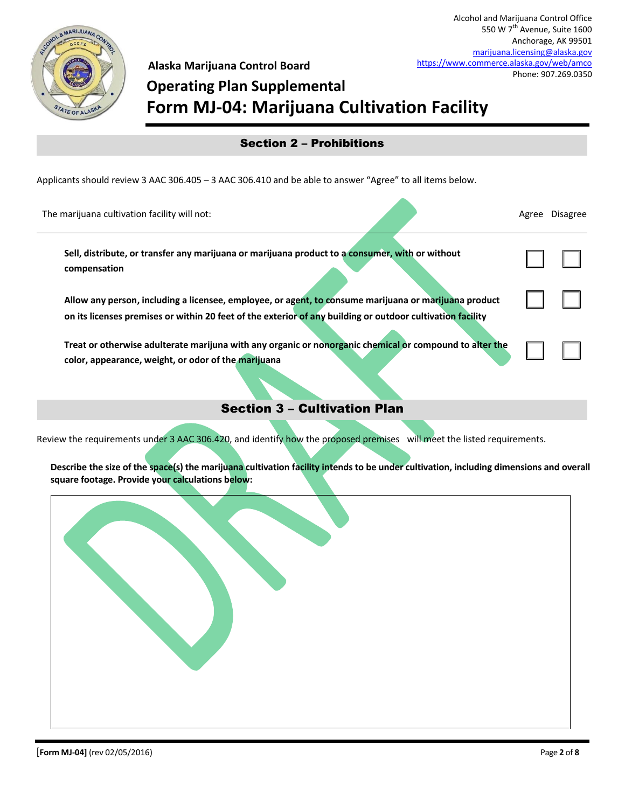

# **Operating Plan Supplemental Form MJ-04: Marijuana Cultivation Facility**

| <b>Section 2 – Prohibitions</b> |  |  |
|---------------------------------|--|--|
|                                 |  |  |

Applicants should review 3 AAC 306.405 – 3 AAC 306.410 and be able to answer "Agree" to all items below.

| The marijuana cultivation facility will not:                                                                                                                                                                        | Agree | Disagree |
|---------------------------------------------------------------------------------------------------------------------------------------------------------------------------------------------------------------------|-------|----------|
| Sell, distribute, or transfer any marijuana or marijuana product to a consumer, with or without<br>compensation                                                                                                     |       |          |
| Allow any person, including a licensee, employee, or agent, to consume marijuana or marijuana product<br>on its licenses premises or within 20 feet of the exterior of any building or outdoor cultivation facility |       |          |
| Treat or otherwise adulterate marijuna with any organic or nonorganic chemical or compound to alter the<br>color, appearance, weight, or odor of the marijuana                                                      |       |          |
|                                                                                                                                                                                                                     |       |          |

## Section 3 – Cultivation Plan

Review the requirements under 3 AAC 306.420, and identify how the proposed premises will meet the listed requirements.

**Describe the size of the space(s) the marijuana cultivation facility intends to be under cultivation, including dimensions and overall square footage. Provide your calculations below:**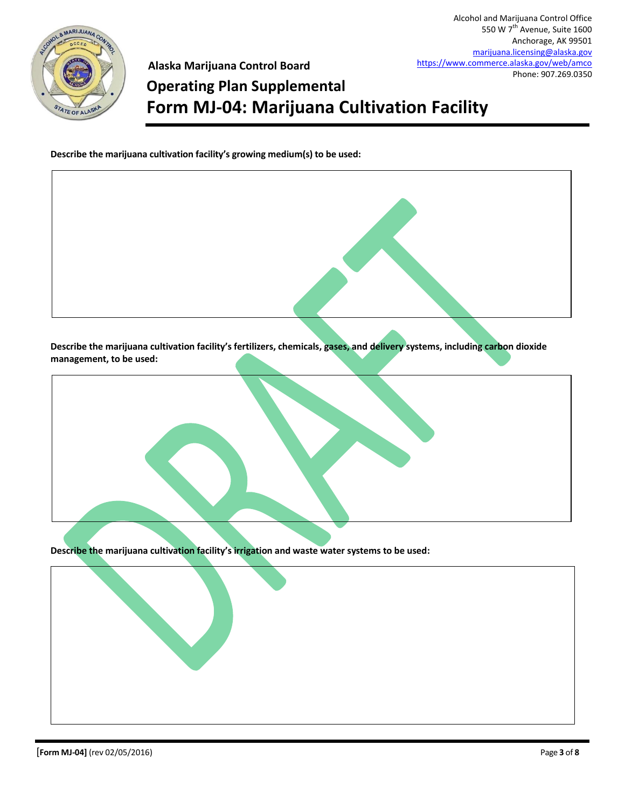

# **Operating Plan Supplemental Form MJ-04: Marijuana Cultivation Facility**

**Describe the marijuana cultivation facility's growing medium(s) to be used:**

**Describe the marijuana cultivation facility's fertilizers, chemicals, gases, and delivery systems, including carbon dioxide management, to be used:**



**Describe the marijuana cultivation facility's irrigation and waste water systems to be used:**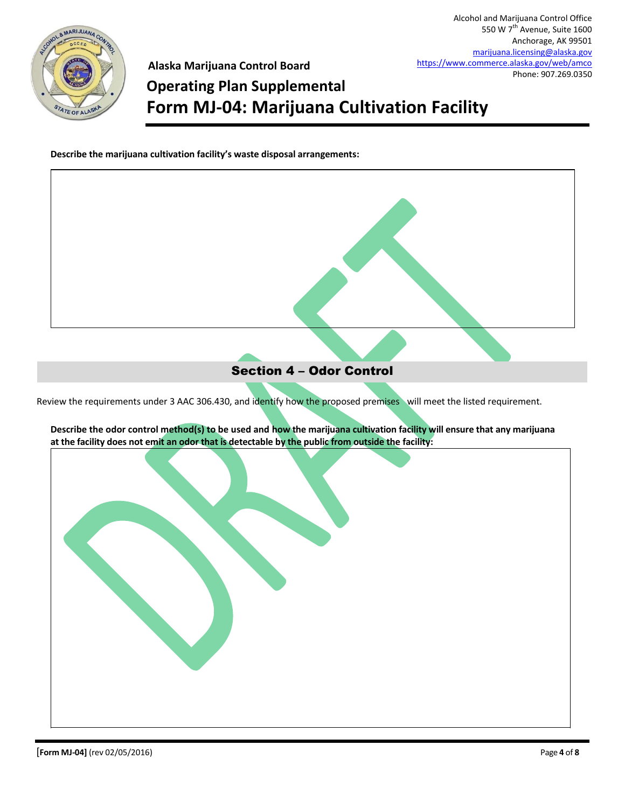

## **Operating Plan Supplemental Form MJ-04: Marijuana Cultivation Facility**

**Describe the marijuana cultivation facility's waste disposal arrangements:**

# Review the requirements under 3 AAC 306.430, and identify how the proposed premises will meet the listed requirement. **Describe the odor control method(s) to be used and how the marijuana cultivation facility will ensure that any marijuana at the facility does not emit an odor that is detectable by the public from outside the facility:** Section 4 – Odor Control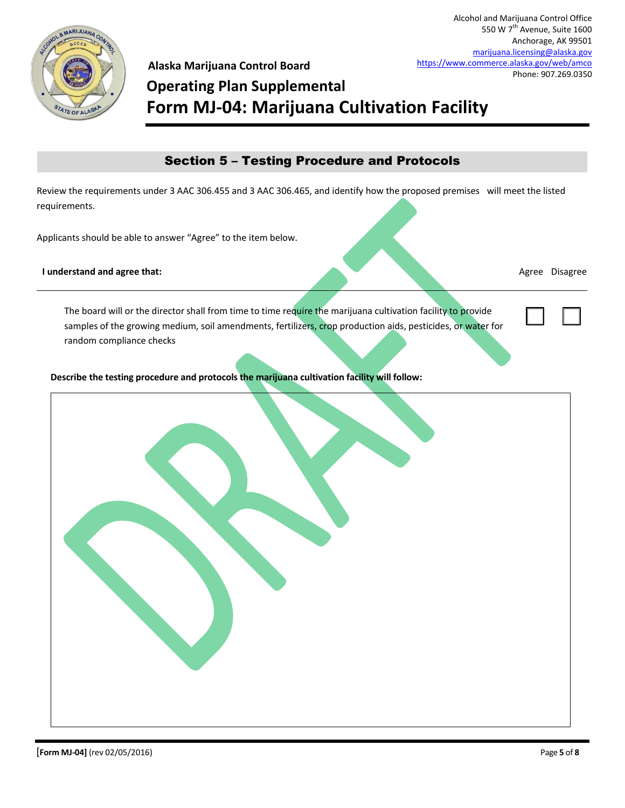

550 W 7<sup>th</sup> Avenue, Suite 1600 Anchorage, AK 99501 [marijuana.licensing@alaska.gov](mailto:marijuana.licensing@alaska.gov) <https://www.commerce.alaska.gov/web/amco> Phone: 907.269.0350

Alcohol and Marijuana Control Office

## **Alaska Marijuana Control Board Operating Plan Supplemental Form MJ-04: Marijuana Cultivation Facility**

## Section 5 – Testing Procedure and Protocols

Review the requirements under 3 AAC 306.455 and 3 AAC 306.465, and identify how the proposed premises will meet the listed requirements.

Applicants should be able to answer "Agree" to the item below.

**I understand and agree that:** Agree Disagree Agree Disagree Agree Disagree Agree Disagree Agree Disagree Agree Disagree Agree Disagree Agree Agree Agree Agree Agree Agree Agree Agree Agree Agree Agree Agree Agree Agree Ag

 $\Box$ 

The board will or the director shall from time to time require the marijuana cultivation facility to provide samples of the growing medium, soil amendments, fertilizers, crop production aids, pesticides, or water for random compliance checks

**Describe the testing procedure and protocols the marijuana cultivation facility will follow:**

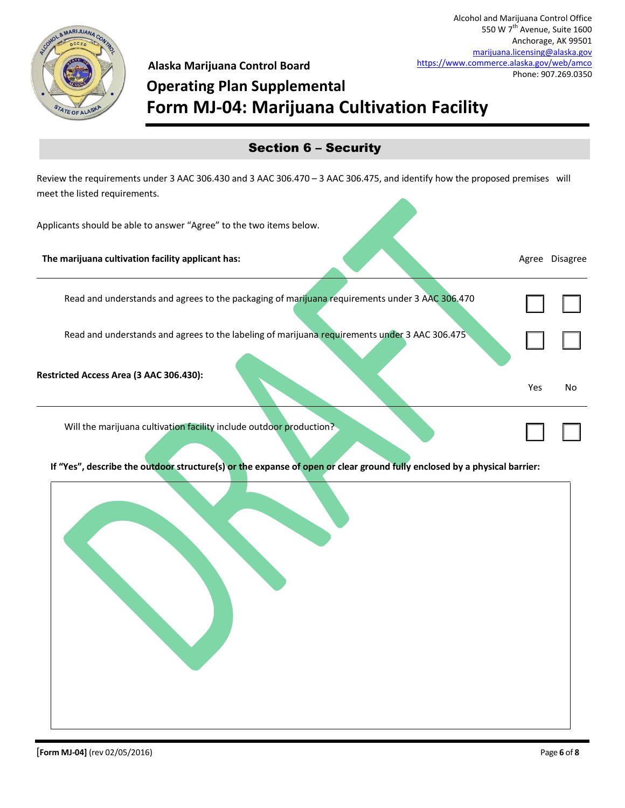

# **Operating Plan Supplemental Form MJ-04: Marijuana Cultivation Facility**

## Section 6 – Security

Review the requirements under 3 AAC 306.430 and 3 AAC 306.470 – 3 AAC 306.475, and identify how the proposed premises will meet the listed requirements.

Applicants should be able to answer "Agree" to the two items below.

| The marijuana cultivation facility applicant has:                                              | Agree      | <b>Disagree</b> |
|------------------------------------------------------------------------------------------------|------------|-----------------|
| Read and understands and agrees to the packaging of marijuana requirements under 3 AAC 306.470 |            |                 |
| Read and understands and agrees to the labeling of marijuana requirements under 3 AAC 306.475  |            |                 |
| Restricted Access Area (3 AAC 306.430):                                                        | <b>Yes</b> | No              |
| Will the marijuana cultivation facility include outdoor production?                            |            |                 |

**If "Yes", describe the outdoor structure(s) or the expanse of open or clear ground fully enclosed by a physical barrier:**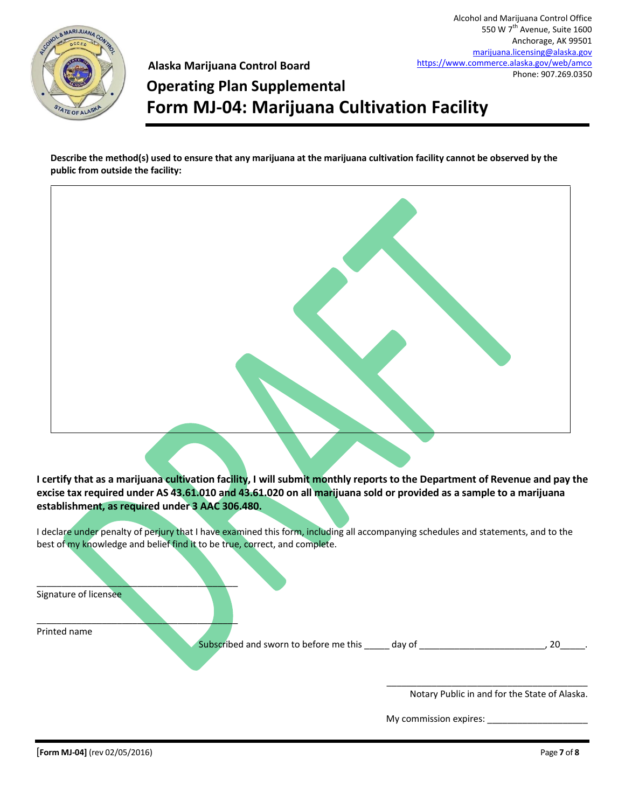

# **Operating Plan Supplemental Form MJ-04: Marijuana Cultivation Facility**

**Describe the method(s) used to ensure that any marijuana at the marijuana cultivation facility cannot be observed by the public from outside the facility:**



**I certify that as a marijuana cultivation facility, I will submit monthly reports to the Department of Revenue and pay the excise tax required under AS 43.61.010 and 43.61.020 on all marijuana sold or provided as a sample to a marijuana establishment, as required under 3 AAC 306.480.**

I declare under penalty of perjury that I have examined this form, including all accompanying schedules and statements, and to the best of my knowledge and belief find it to be true, correct, and complete.

| Signature of licensee |                                        |        |    |
|-----------------------|----------------------------------------|--------|----|
|                       |                                        |        |    |
| Printed name          | Subscribed and sworn to before me this | day of | 20 |
|                       |                                        |        |    |

Notary Public in and for the State of Alaska.

\_\_\_\_\_\_\_\_\_\_\_\_\_\_\_\_\_\_\_\_\_\_\_\_\_\_\_\_\_\_\_\_\_\_\_\_\_\_\_\_

My commission expires: